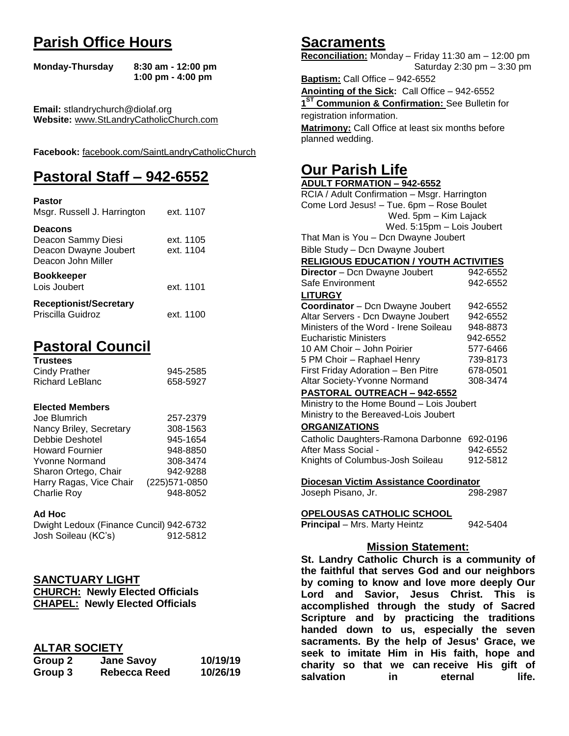# **Parish Office Hours**

```
Monday-Thursday 8:30 am - 12:00 pm
       1:00 pm - 4:00 pm
```
**Email:** stlandrychurch@diolaf.org **Website:** [www.StLandryCatholicChurch.com](http://www.stlandrycatholicchurch.com/)

**Facebook:** [facebook.com/SaintLandryCatholicChurch](http://facebook.com/SaintLandryCatholicChurch)

# **Pastoral Staff – 942-6552**

| <b>Pastor</b><br>Msgr. Russell J. Harrington                                        | ext. 1107              |
|-------------------------------------------------------------------------------------|------------------------|
| <b>Deacons</b><br>Deacon Sammy Diesi<br>Deacon Dwayne Joubert<br>Deacon John Miller | ext. 1105<br>ext. 1104 |
| <b>Bookkeeper</b><br>Lois Joubert                                                   | ext. 1101              |
| <b>Receptionist/Secretary</b><br>Priscilla Guidroz                                  | ext. 1100              |

# **Pastoral Council**

| <b>Trustees</b> |          |
|-----------------|----------|
| Cindy Prather   | 945-2585 |
| Richard LeBlanc | 658-5927 |

#### **Elected Members**

| Joe Blumrich            | 257-2379       |
|-------------------------|----------------|
| Nancy Briley, Secretary | 308-1563       |
| Debbie Deshotel         | 945-1654       |
| <b>Howard Fournier</b>  | 948-8850       |
| <b>Yvonne Normand</b>   | 308-3474       |
| Sharon Ortego, Chair    | 942-9288       |
| Harry Ragas, Vice Chair | (225) 571-0850 |
| <b>Charlie Roy</b>      | 948-8052       |

#### **Ad Hoc**

| Dwight Ledoux (Finance Cuncil) 942-6732 |          |
|-----------------------------------------|----------|
| Josh Soileau (KC's)                     | 912-5812 |

### **SANCTUARY LIGHT**

| <b>CHURCH: Newly Elected Officials</b> |
|----------------------------------------|
| <b>CHAPEL: Newly Elected Officials</b> |

### **ALTAR SOCIETY**

| Group 2 | <b>Jane Savoy</b>   | 10/19/19 |
|---------|---------------------|----------|
| Group 3 | <b>Rebecca Reed</b> | 10/26/19 |

## **Sacraments**

**Reconciliation:** Monday – Friday 11:30 am – 12:00 pm Saturday 2:30 pm – 3:30 pm

**Baptism:** Call Office – 942-6552 **Anointing of the Sick:** Call Office – 942-6552 **1 ST Communion & Confirmation:** See Bulletin for registration information. **Matrimony:** Call Office at least six months before planned wedding.

# **Our Parish Life**

| <b>ADULT FORMATION - 942-6552</b>              |            |
|------------------------------------------------|------------|
| RCIA / Adult Confirmation - Msgr. Harrington   |            |
| Come Lord Jesus! - Tue. 6pm - Rose Boulet      |            |
| Wed. 5pm - Kim Lajack                          |            |
| Wed. 5:15pm - Lois Joubert                     |            |
| That Man is You - Dcn Dwayne Joubert           |            |
| Bible Study - Dcn Dwayne Joubert               |            |
| <b>RELIGIOUS EDUCATION / YOUTH ACTIVITIES</b>  |            |
| Director - Dcn Dwayne Joubert                  | 942-6552   |
| Safe Environment                               | 942-6552   |
| <b>LITURGY</b>                                 |            |
| Coordinator - Dcn Dwayne Joubert               | 942-6552   |
| Altar Servers - Dcn Dwayne Joubert             | 942-6552   |
| Ministers of the Word - Irene Soileau          | 948-8873   |
| <b>Eucharistic Ministers</b>                   | 942-6552   |
| 10 AM Choir - John Poirier                     | 577-6466   |
| 5 PM Choir - Raphael Henry                     | 739-8173   |
| First Friday Adoration - Ben Pitre             | 678-0501   |
| Altar Society-Yvonne Normand                   | 308-3474   |
| PASTORAL OUTREACH - 942-6552                   |            |
| Ministry to the Home Bound - Lois Joubert      |            |
| Ministry to the Bereaved-Lois Joubert          |            |
| <b>ORGANIZATIONS</b>                           |            |
| Catholic Daughters-Ramona Darbonne 692-0196    |            |
| After Mass Social -                            | 942-6552   |
| Knights of Columbus-Josh Soileau               | 912-5812   |
|                                                |            |
| Diocesan Victim Assistance Coordinator         |            |
| Joseph Pisano, Jr.                             | 298-2987   |
|                                                |            |
| <b>OPELOUSAS CATHOLIC SCHOOL</b>               |            |
| Principal - Mrs. Marty Heintz                  | 942-5404   |
| <b>Mission Statement:</b>                      |            |
| St. Landry Catholic Church is a community of   |            |
|                                                |            |
| the faithful that serves God and our neighbors |            |
| by coming to know and love more deeply Our     |            |
| Lord<br>and<br>Savior, Jesus Christ.           | This<br>is |
| accomplished through the study of Sacred       |            |
| Scripture and by practicing the traditions     |            |
| to us, especially the seven<br>handed down     |            |

**sacraments. By the help of Jesus' Grace, we seek to imitate Him in His faith, hope and charity so that we can receive His gift of salvation** in eternal life.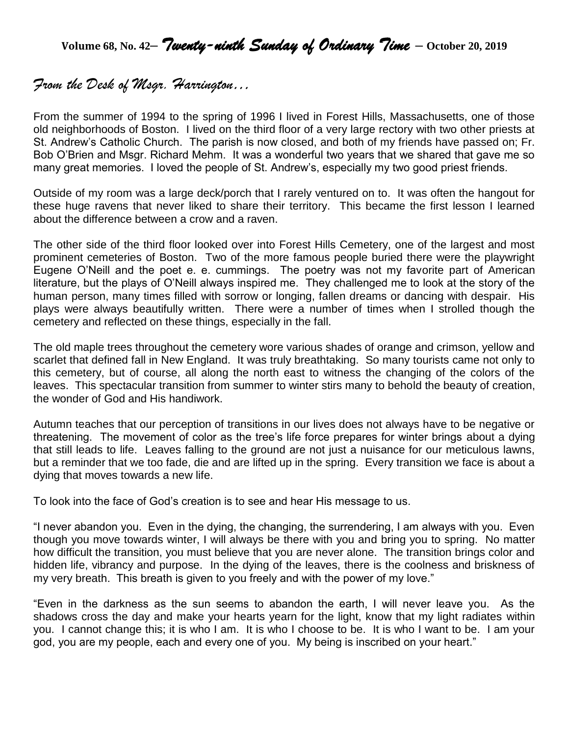**Volume 68, No. 42–** *Twenty-ninth Sunday of Ordinary Time* **– October 20, <sup>2019</sup>**

# *From the Desk of Msgr. Harrington…*

From the summer of 1994 to the spring of 1996 I lived in Forest Hills, Massachusetts, one of those old neighborhoods of Boston. I lived on the third floor of a very large rectory with two other priests at St. Andrew's Catholic Church. The parish is now closed, and both of my friends have passed on; Fr. Bob O'Brien and Msgr. Richard Mehm. It was a wonderful two years that we shared that gave me so many great memories. I loved the people of St. Andrew's, especially my two good priest friends.

Outside of my room was a large deck/porch that I rarely ventured on to. It was often the hangout for these huge ravens that never liked to share their territory. This became the first lesson I learned about the difference between a crow and a raven.

The other side of the third floor looked over into Forest Hills Cemetery, one of the largest and most prominent cemeteries of Boston. Two of the more famous people buried there were the playwright Eugene O'Neill and the poet e. e. cummings. The poetry was not my favorite part of American literature, but the plays of O'Neill always inspired me. They challenged me to look at the story of the human person, many times filled with sorrow or longing, fallen dreams or dancing with despair. His plays were always beautifully written. There were a number of times when I strolled though the cemetery and reflected on these things, especially in the fall.

The old maple trees throughout the cemetery wore various shades of orange and crimson, yellow and scarlet that defined fall in New England. It was truly breathtaking. So many tourists came not only to this cemetery, but of course, all along the north east to witness the changing of the colors of the leaves. This spectacular transition from summer to winter stirs many to behold the beauty of creation, the wonder of God and His handiwork.

Autumn teaches that our perception of transitions in our lives does not always have to be negative or threatening. The movement of color as the tree's life force prepares for winter brings about a dying that still leads to life. Leaves falling to the ground are not just a nuisance for our meticulous lawns, but a reminder that we too fade, die and are lifted up in the spring. Every transition we face is about a dying that moves towards a new life.

To look into the face of God's creation is to see and hear His message to us.

"I never abandon you. Even in the dying, the changing, the surrendering, I am always with you. Even though you move towards winter, I will always be there with you and bring you to spring. No matter how difficult the transition, you must believe that you are never alone. The transition brings color and hidden life, vibrancy and purpose. In the dying of the leaves, there is the coolness and briskness of my very breath. This breath is given to you freely and with the power of my love."

"Even in the darkness as the sun seems to abandon the earth, I will never leave you. As the shadows cross the day and make your hearts yearn for the light, know that my light radiates within you. I cannot change this; it is who I am. It is who I choose to be. It is who I want to be. I am your god, you are my people, each and every one of you. My being is inscribed on your heart."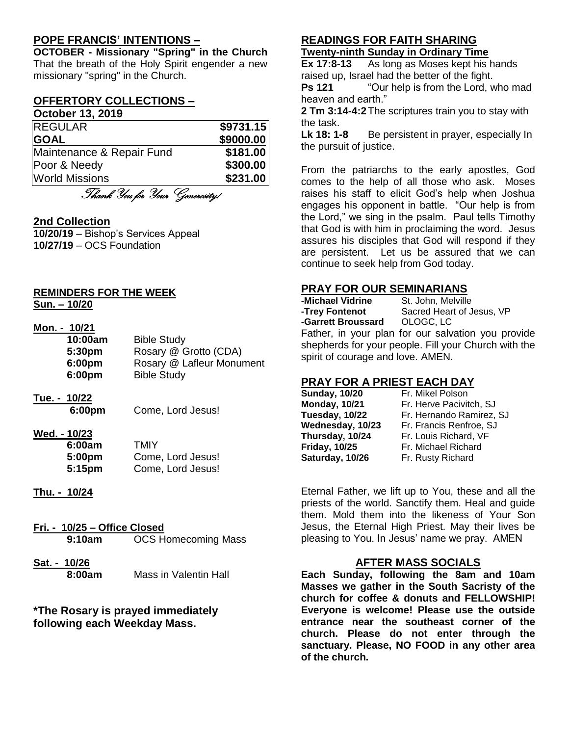## **POPE FRANCIS' INTENTIONS –**

**OCTOBER - Missionary "Spring" in the Church** That the breath of the Holy Spirit engender a new missionary "spring" in the Church.

## **OFFERTORY COLLECTIONS –**

#### **October 13, 2019**

| <b>REGULAR</b>            | \$9731.15 |
|---------------------------|-----------|
| <b>GOAL</b>               | \$9000.00 |
| Maintenance & Repair Fund | \$181.00  |
| Poor & Needy              | \$300.00  |
| <b>World Missions</b>     | \$231.00  |
|                           |           |

Thank You for Your Generosity!

#### **2nd Collection**

**10/20/19** – Bishop's Services Appeal **10/27/19** – OCS Foundation

#### **REMINDERS FOR THE WEEK Sun. – 10/20**

#### **Mon. - 10/21**

| 10:00am            | <b>Bible Study</b>        |
|--------------------|---------------------------|
| 5:30 <sub>pm</sub> | Rosary @ Grotto (CDA)     |
| 6:00pm             | Rosary @ Lafleur Monument |
| 6:00pm             | <b>Bible Study</b>        |

## **Tue. - 10/22**

**6:00pm** Come, Lord Jesus!

#### **Wed. - 10/23**

| 6:00am | TMIY              |
|--------|-------------------|
| 5:00pm | Come, Lord Jesus! |
| 5:15pm | Come, Lord Jesus! |

**Thu. - 10/24**

## **Fri. - 10/25 – Office Closed 9:10am** OCS Homecoming Mass

**Sat. - 10/26 8:00am** Mass in Valentin Hall

#### **\*The Rosary is prayed immediately following each Weekday Mass.**

# **READINGS FOR FAITH SHARING**

## **Twenty-ninth Sunday in Ordinary Time**

**Ex 17:8-13** As long as Moses kept his hands raised up, Israel had the better of the fight.

**Ps 121** "Our help is from the Lord, who mad heaven and earth."

**2 Tm 3:14-4:2**The scriptures train you to stay with the task.

**Lk 18: 1-8** Be persistent in prayer, especially In the pursuit of justice.

From the patriarchs to the early apostles, God comes to the help of all those who ask. Moses raises his staff to elicit God's help when Joshua engages his opponent in battle. "Our help is from the Lord," we sing in the psalm. Paul tells Timothy that God is with him in proclaiming the word. Jesus assures his disciples that God will respond if they are persistent. Let us be assured that we can continue to seek help from God today.

#### **PRAY FOR OUR SEMINARIANS**

| -Michael Vidrine                  | St. John, Melville                                   |
|-----------------------------------|------------------------------------------------------|
| -Trey Fontenot                    | Sacred Heart of Jesus, VP                            |
| -Garrett Broussard OLOGC, LC      |                                                      |
|                                   | Father, in your plan for our salvation you provide   |
|                                   | shepherds for your people. Fill your Church with the |
| spirit of courage and love. AMEN. |                                                      |

### **PRAY FOR A PRIEST EACH DAY**

| <b>Sunday, 10/20</b> |  |
|----------------------|--|
| <b>Monday, 10/21</b> |  |
| Tuesday, 10/22       |  |
| Wednesday, 10/23     |  |
| Thursday, 10/24      |  |
| <b>Friday, 10/25</b> |  |
| Saturday, 10/26      |  |
|                      |  |

**Fr. Mikel Polson Monday, 10/21** Fr. Herve Pacivitch, SJ **Fr. Hernando Ramirez, SJ Wednesday, 10/23** Fr. Francis Renfroe, SJ **Fr. Louis Richard, VF Friday, 10/25** Fr. Michael Richard **Fr. Rusty Richard** 

Eternal Father, we lift up to You, these and all the priests of the world. Sanctify them. Heal and guide them. Mold them into the likeness of Your Son Jesus, the Eternal High Priest. May their lives be pleasing to You. In Jesus' name we pray. AMEN

#### **AFTER MASS SOCIALS**

**Each Sunday, following the 8am and 10am Masses we gather in the South Sacristy of the church for coffee & donuts and FELLOWSHIP! Everyone is welcome! Please use the outside entrance near the southeast corner of the church. Please do not enter through the sanctuary. Please, NO FOOD in any other area of the church.**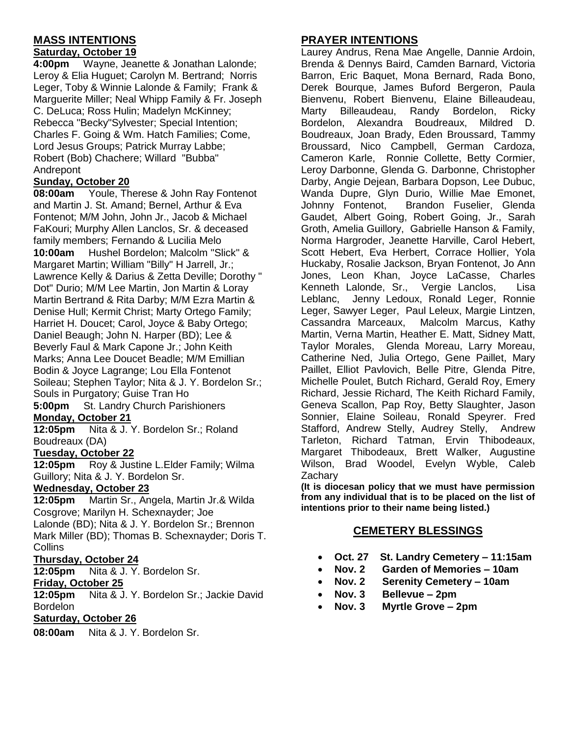## **MASS INTENTIONS**

#### **Saturday, October 19**

**4:00pm** Wayne, Jeanette & Jonathan Lalonde; Leroy & Elia Huguet; Carolyn M. Bertrand; Norris Leger, Toby & Winnie Lalonde & Family; Frank & Marguerite Miller; Neal Whipp Family & Fr. Joseph C. DeLuca; Ross Hulin; Madelyn McKinney; Rebecca "Becky"Sylvester; Special Intention; Charles F. Going & Wm. Hatch Families; Come, Lord Jesus Groups; Patrick Murray Labbe; Robert (Bob) Chachere; Willard "Bubba" Andrepont

#### **Sunday, October 20**

**08:00am** Youle, Therese & John Ray Fontenot and Martin J. St. Amand; Bernel, Arthur & Eva Fontenot; M/M John, John Jr., Jacob & Michael FaKouri; Murphy Allen Lanclos, Sr. & deceased family members; Fernando & Lucilia Melo **10:00am** Hushel Bordelon; Malcolm "Slick" &

Margaret Martin; William "Billy" H Jarrell, Jr.; Lawrence Kelly & Darius & Zetta Deville; Dorothy " Dot" Durio; M/M Lee Martin, Jon Martin & Loray Martin Bertrand & Rita Darby; M/M Ezra Martin & Denise Hull; Kermit Christ; Marty Ortego Family; Harriet H. Doucet; Carol, Joyce & Baby Ortego; Daniel Beaugh; John N. Harper (BD); Lee & Beverly Faul & Mark Capone Jr.; John Keith Marks; Anna Lee Doucet Beadle; M/M Emillian Bodin & Joyce Lagrange; Lou Ella Fontenot Soileau; Stephen Taylor; Nita & J. Y. Bordelon Sr.; Souls in Purgatory; Guise Tran Ho

**5:00pm** St. Landry Church Parishioners **Monday, October 21**

**12:05pm** Nita & J. Y. Bordelon Sr.; Roland Boudreaux (DA)

#### **Tuesday, October 22**

**12:05pm** Roy & Justine L.Elder Family; Wilma Guillory; Nita & J. Y. Bordelon Sr.

#### **Wednesday, October 23**

**12:05pm** Martin Sr., Angela, Martin Jr.& Wilda Cosgrove; Marilyn H. Schexnayder; Joe Lalonde (BD); Nita & J. Y. Bordelon Sr.; Brennon Mark Miller (BD); Thomas B. Schexnayder; Doris T. Collins

#### **Thursday, October 24**

**12:05pm** Nita & J. Y. Bordelon Sr.

#### **Friday, October 25**

**12:05pm** Nita & J. Y. Bordelon Sr.; Jackie David Bordelon

#### **Saturday, October 26**

**08:00am** Nita & J. Y. Bordelon Sr.

#### **PRAYER INTENTIONS**

Laurey Andrus, Rena Mae Angelle, Dannie Ardoin, Brenda & Dennys Baird, Camden Barnard, Victoria Barron, Eric Baquet, Mona Bernard, Rada Bono, Derek Bourque, James Buford Bergeron, Paula Bienvenu, Robert Bienvenu, Elaine Billeaudeau, Marty Billeaudeau, Randy Bordelon, Ricky Bordelon, Alexandra Boudreaux, Mildred D. Boudreaux, Joan Brady, Eden Broussard, Tammy Broussard, Nico Campbell, German Cardoza, Cameron Karle, Ronnie Collette, Betty Cormier, Leroy Darbonne, Glenda G. Darbonne, Christopher Darby, Angie Dejean, Barbara Dopson, Lee Dubuc, Wanda Dupre, Glyn Durio, Willie Mae Emonet, Johnny Fontenot, Brandon Fuselier, Glenda Gaudet, Albert Going, Robert Going, Jr., Sarah Groth, Amelia Guillory, Gabrielle Hanson & Family, Norma Hargroder, Jeanette Harville, Carol Hebert, Scott Hebert, Eva Herbert, Corrace Hollier, Yola Huckaby, Rosalie Jackson, Bryan Fontenot, Jo Ann Jones, Leon Khan, Joyce LaCasse, Charles Kenneth Lalonde, Sr., Vergie Lanclos, Lisa Leblanc, Jenny Ledoux, Ronald Leger, Ronnie Leger, Sawyer Leger, Paul Leleux, Margie Lintzen, Cassandra Marceaux, Malcolm Marcus, Kathy Martin, Verna Martin, Heather E. Matt, Sidney Matt, Taylor Morales, Glenda Moreau, Larry Moreau, Catherine Ned, Julia Ortego, Gene Paillet, Mary Paillet, Elliot Pavlovich, Belle Pitre, Glenda Pitre, Michelle Poulet, Butch Richard, Gerald Roy, Emery Richard, Jessie Richard, The Keith Richard Family, Geneva Scallon, Pap Roy, Betty Slaughter, Jason Sonnier, Elaine Soileau, Ronald Speyrer. Fred Stafford, Andrew Stelly, Audrey Stelly, Andrew Tarleton, Richard Tatman, Ervin Thibodeaux, Margaret Thibodeaux, Brett Walker, Augustine Wilson, Brad Woodel, Evelyn Wyble, Caleb **Zachary** 

**(It is diocesan policy that we must have permission from any individual that is to be placed on the list of intentions prior to their name being listed.)**

### **CEMETERY BLESSINGS**

- **Oct. 27 St. Landry Cemetery – 11:15am**
- **Nov. 2 Garden of Memories – 10am**
	- **Nov. 2 Serenity Cemetery – 10am**
- **Nov. 3 Bellevue – 2pm**
- **Nov. 3 Myrtle Grove – 2pm**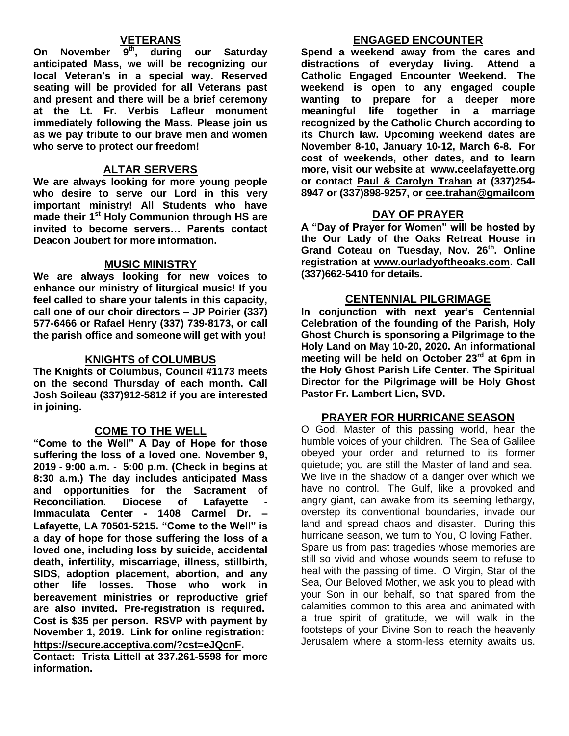## **VETERANS**

**On November 9th, during our Saturday anticipated Mass, we will be recognizing our local Veteran's in a special way. Reserved seating will be provided for all Veterans past and present and there will be a brief ceremony at the Lt. Fr. Verbis Lafleur monument immediately following the Mass. Please join us as we pay tribute to our brave men and women who serve to protect our freedom!**

#### **ALTAR SERVERS**

**We are always looking for more young people who desire to serve our Lord in this very important ministry! All Students who have made their 1st Holy Communion through HS are invited to become servers… Parents contact Deacon Joubert for more information.**

#### **MUSIC MINISTRY**

**We are always looking for new voices to enhance our ministry of liturgical music! If you feel called to share your talents in this capacity, call one of our choir directors – JP Poirier (337) 577-6466 or Rafael Henry (337) 739-8173, or call the parish office and someone will get with you!**

#### **KNIGHTS of COLUMBUS**

**The Knights of Columbus, Council #1173 meets on the second Thursday of each month. Call Josh Soileau (337)912-5812 if you are interested in joining.** 

### **COME TO THE WELL**

**"Come to the Well" A Day of Hope for those suffering the loss of a loved one. November 9, 2019 - 9:00 a.m. - 5:00 p.m. (Check in begins at 8:30 a.m.) The day includes anticipated Mass and opportunities for the Sacrament of Reconciliation.** Diocese of Lafayette **Immaculata Center - 1408 Carmel Dr. – Lafayette, LA 70501-5215. "Come to the Well" is a day of hope for those suffering the loss of a loved one, including loss by suicide, accidental death, infertility, miscarriage, illness, stillbirth, SIDS, adoption placement, abortion, and any other life losses. Those who work in bereavement ministries or reproductive grief are also invited. Pre-registration is required. Cost is \$35 per person. RSVP with payment by November 1, 2019. Link for online registration: <https://secure.acceptiva.com/?cst=eJQcnF>.** 

**Contact: Trista Littell at 337.261-5598 for more information.**

### **ENGAGED ENCOUNTER**

**Spend a weekend away from the cares and distractions of everyday living. Attend a Catholic Engaged Encounter Weekend. The weekend is open to any engaged couple wanting to prepare for a deeper more meaningful life together in a marriage recognized by the Catholic Church according to its Church law. Upcoming weekend dates are November 8-10, January 10-12, March 6-8. For cost of weekends, other dates, and to learn more, visit our website at www.ceelafayette.org or contact Paul & Carolyn Trahan at (337)254- 8947 or (337)898-9257, or [cee.trahan@gmailcom](mailto:cee.trahan@gmailcom)**

#### **DAY OF PRAYER**

**A "Day of Prayer for Women" will be hosted by the Our Lady of the Oaks Retreat House in Grand Coteau on Tuesday, Nov. 26th. Online registration at [www.ourladyoftheoaks.com.](http://www.ourladyoftheoaks.com/) Call (337)662-5410 for details.**

### **CENTENNIAL PILGRIMAGE**

**In conjunction with next year's Centennial Celebration of the founding of the Parish, Holy Ghost Church is sponsoring a Pilgrimage to the Holy Land on May 10-20, 2020. An informational meeting will be held on October 23rd at 6pm in the Holy Ghost Parish Life Center. The Spiritual Director for the Pilgrimage will be Holy Ghost Pastor Fr. Lambert Lien, SVD.** 

### **PRAYER FOR HURRICANE SEASON**

O God, Master of this passing world, hear the humble voices of your children. The Sea of Galilee obeyed your order and returned to its former quietude; you are still the Master of land and sea. We live in the shadow of a danger over which we have no control. The Gulf, like a provoked and angry giant, can awake from its seeming lethargy, overstep its conventional boundaries, invade our land and spread chaos and disaster. During this hurricane season, we turn to You, O loving Father. Spare us from past tragedies whose memories are still so vivid and whose wounds seem to refuse to heal with the passing of time. O Virgin, Star of the Sea, Our Beloved Mother, we ask you to plead with your Son in our behalf, so that spared from the calamities common to this area and animated with a true spirit of gratitude, we will walk in the footsteps of your Divine Son to reach the heavenly Jerusalem where a storm-less eternity awaits us.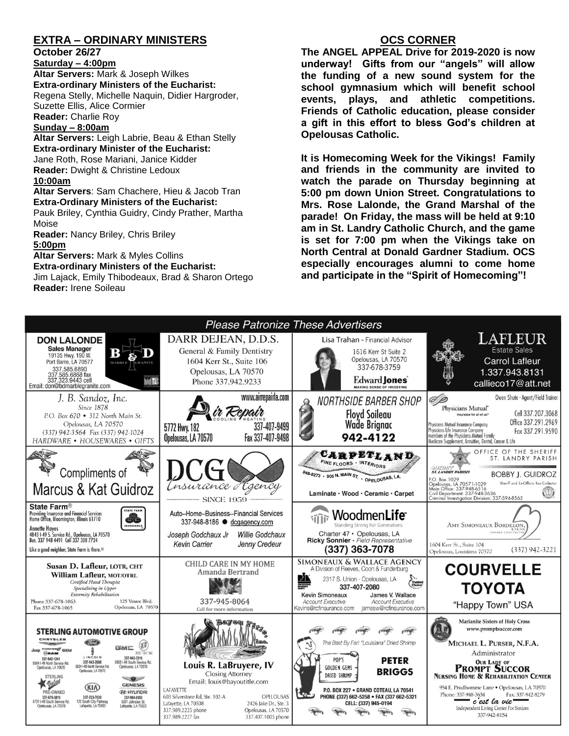## **EXTRA – ORDINARY MINISTERS**

#### **October 26/27**

**Saturday – 4:00pm** 

**Altar Servers:** Mark & Joseph Wilkes **Extra-ordinary Ministers of the Eucharist:**  Regena Stelly, Michelle Naquin, Didier Hargroder, Suzette Ellis, Alice Cormier **Reader:** Charlie Roy

#### **Sunday – 8:00am**

**Altar Servers:** Leigh Labrie, Beau & Ethan Stelly **Extra-ordinary Minister of the Eucharist:** Jane Roth, Rose Mariani, Janice Kidder **Reader:** Dwight & Christine Ledoux **10:00am**

**Altar Servers**: Sam Chachere, Hieu & Jacob Tran **Extra-Ordinary Ministers of the Eucharist:**

Pauk Briley, Cynthia Guidry, Cindy Prather, Martha Moise

**Reader:** Nancy Briley, Chris Briley **5:00pm** 

**Altar Servers:** Mark & Myles Collins **Extra-ordinary Ministers of the Eucharist:** Jim Lajack, Emily Thibodeaux, Brad & Sharon Ortego

**Reader:** Irene Soileau

### **OCS CORNER**

**The ANGEL APPEAL Drive for 2019-2020 is now underway! Gifts from our "angels" will allow the funding of a new sound system for the school gymnasium which will benefit school events, plays, and athletic competitions. Friends of Catholic education, please consider a gift in this effort to bless God's children at Opelousas Catholic.** 

**It is Homecoming Week for the Vikings! Family and friends in the community are invited to watch the parade on Thursday beginning at 5:00 pm down Union Street. Congratulations to Mrs. Rose Lalonde, the Grand Marshal of the parade! On Friday, the mass will be held at 9:10 am in St. Landry Catholic Church, and the game is set for 7:00 pm when the Vikings take on North Central at Donald Gardner Stadium. OCS especially encourages alumni to come home and participate in the "Spirit of Homecoming"!**